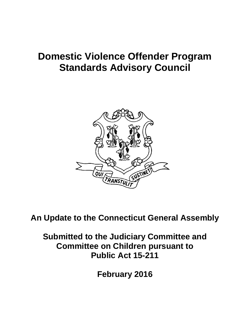# **Domestic Violence Offender Program Standards Advisory Council**



**An Update to the Connecticut General Assembly**

**Submitted to the Judiciary Committee and Committee on Children pursuant to Public Act 15-211** 

**February 2016**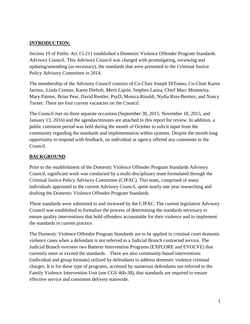### **INTRODUCTION:**

Section 19 of Public Act 15-211 established a Domestic Violence Offender Program Standards Advisory Council. This Advisory Council was charged with promulgating, reviewing and updating/amending (as necessary), the standards that were presented to the Criminal Justice Policy Advisory Committee in 2014.

The membership of the Advisory Council consists of Co-Chair Joseph DiTunno, Co-Chair Karen Jarmoc, Linda Cimino, Karen Diebolt, Merit Lajoie, Stephen Lanza, Chief Marc Montminy, Mary Painter, Brian Pear, David Rentler, PsyD, Monica Rinaldi, Nydia Rios-Benitez, and Nancy Turner. There are four current vacancies on the Council.

The Council met on three separate occasions (September 30, 2015, November 18, 2015, and January 13, 2016) and the agendas/minutes are attached to this report for review. In addition, a public comment period was held during the month of October to solicit input from the community regarding the standards and implementation within systems. Despite the month long opportunity to respond with feedback, no individual or agency offered any comments to the Council.

### **BACKGROUND**:

Prior to the establishment of the Domestic Violence Offender Program Standards Advisory Council, significant work was conducted by a multi-disciplinary team formulated through the Criminal Justice Policy Advisory Committee (CJPAC). This team, comprised of many individuals appointed to the current Advisory Council, spent nearly one year researching and drafting the Domestic Violence Offender Program Standards.

These standards were submitted to and reviewed by the CJPAC. The current legislative Advisory Council was established to formalize the process of determining the standards necessary to ensure quality interventions that hold offenders accountable for their violence and to implement the standards in current practice.

The Domestic Violence Offender Program Standards are to be applied in criminal court domestic violence cases when a defendant is not referred to a Judicial Branch contracted service. The Judicial Branch oversees two Batterer Intervention Programs (EXPLORE and EVOLVE) that currently meet or exceed the standards. There are also community-based interventions (individual and group formats) utilized by defendants to address domestic violence criminal charges. It is for these type of programs, accessed by numerous defendants not referred to the Family Violence Intervention Unit (see CGS 46b-38), that standards are required to ensure effective service and consistent delivery statewide.